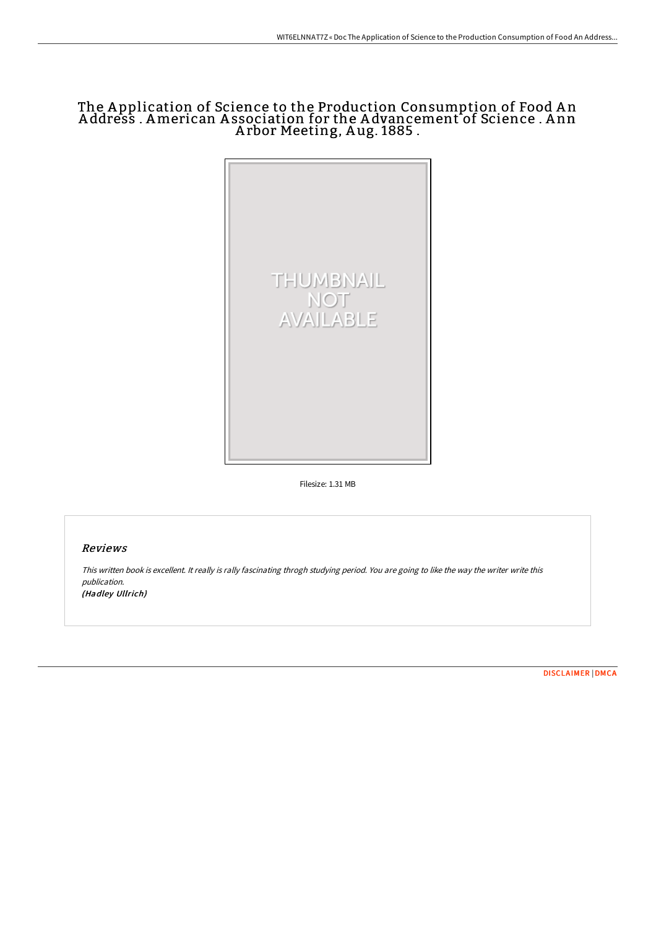## The A pplication of Science to the Production Consumption of Food A n A ddress . American A ssociation for the A dvancement of Science . A nn A rbor Meeting, A ug. 1885 .



Filesize: 1.31 MB

## Reviews

This written book is excellent. It really is rally fascinating throgh studying period. You are going to like the way the writer write this publication. (Hadley Ullrich)

[DISCLAIMER](http://www.bookdirs.com/disclaimer.html) | [DMCA](http://www.bookdirs.com/dmca.html)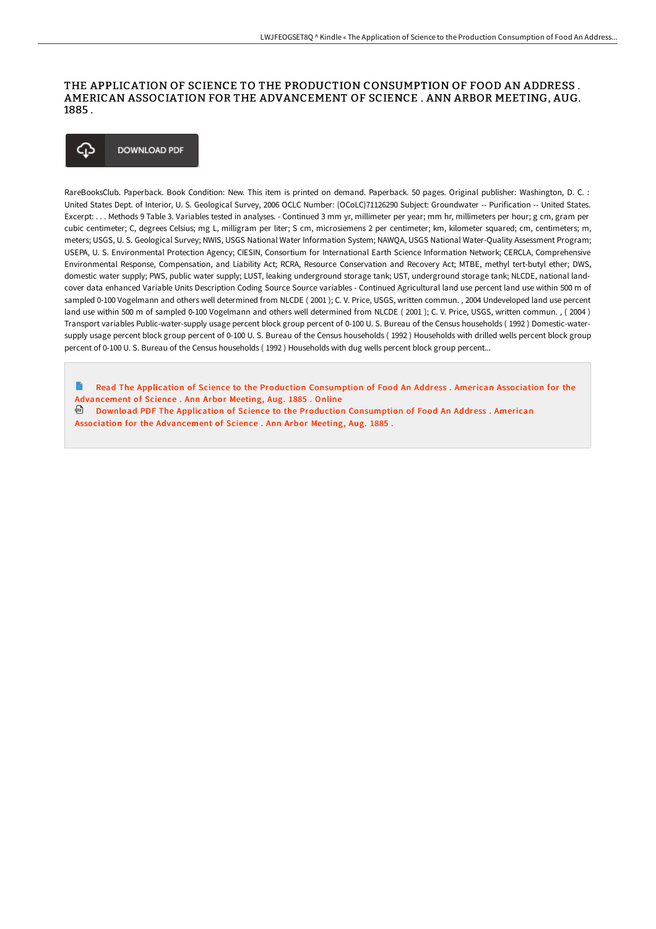## THE APPLICATION OF SCIENCE TO THE PRODUCTION CONSUMPTION OF FOOD AN ADDRESS . AMERICAN ASSOCIATION FOR THE ADVANCEMENT OF SCIENCE . ANN ARBOR MEETING, AUG. 1885 .



RareBooksClub. Paperback. Book Condition: New. This item is printed on demand. Paperback. 50 pages. Original publisher: Washington, D. C. : United States Dept. of Interior, U. S. Geological Survey, 2006 OCLC Number: (OCoLC)71126290 Subject: Groundwater -- Purification -- United States. Excerpt: . . . Methods 9 Table 3. Variables tested in analyses. - Continued 3 mm yr, millimeter per year; mm hr, millimeters per hour; g cm, gram per cubic centimeter; C, degrees Celsius; mg L, milligram per liter; S cm, microsiemens 2 per centimeter; km, kilometer squared; cm, centimeters; m, meters; USGS, U. S. Geological Survey; NWIS, USGS National Water Information System; NAWQA, USGS National Water-Quality Assessment Program; USEPA, U. S. Environmental Protection Agency; CIESIN, Consortium for International Earth Science Information Network; CERCLA, Comprehensive Environmental Response, Compensation, and Liability Act; RCRA, Resource Conservation and Recovery Act; MTBE, methyl tert-butyl ether; DWS, domestic water supply; PWS, public water supply; LUST, leaking underground storage tank; UST, underground storage tank; NLCDE, national landcover data enhanced Variable Units Description Coding Source Source variables - Continued Agricultural land use percent land use within 500 m of sampled 0-100 Vogelmann and others well determined from NLCDE ( 2001 ); C. V. Price, USGS, written commun. , 2004 Undeveloped land use percent land use within 500 m of sampled 0-100 Vogelmann and others well determined from NLCDE ( 2001 ); C. V. Price, USGS, written commun. , ( 2004 ) Transport variables Public-water-supply usage percent block group percent of 0-100 U. S. Bureau of the Census households ( 1992 ) Domestic-watersupply usage percent block group percent of 0-100 U. S. Bureau of the Census households (1992) Households with drilled wells percent block group percent of 0-100 U. S. Bureau of the Census households ( 1992 ) Households with dug wells percent block group percent...

B Read The Application of Science to the Production Consumption of Food An Address . American Association for the [Advancement](http://www.bookdirs.com/the-application-of-science-to-the-production-con.html) of Science . Ann Arbor Meeting, Aug. 1885 . Online

Download PDF The Application of Science to the Production Consumption of Food An Address . American Association for the [Advancement](http://www.bookdirs.com/the-application-of-science-to-the-production-con.html) of Science . Ann Arbor Meeting, Aug. 1885 .